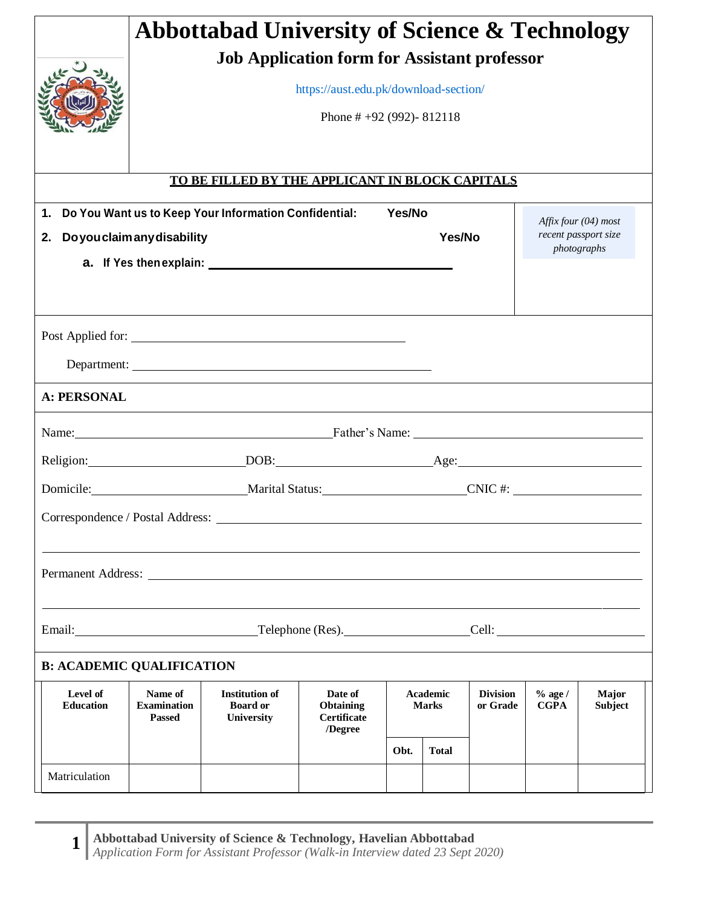|                                  |                                                     | <b>Abbottabad University of Science &amp; Technology</b> |                                        |        |              |                 |                      |                                     |  |
|----------------------------------|-----------------------------------------------------|----------------------------------------------------------|----------------------------------------|--------|--------------|-----------------|----------------------|-------------------------------------|--|
|                                  | <b>Job Application form for Assistant professor</b> |                                                          |                                        |        |              |                 |                      |                                     |  |
|                                  | https://aust.edu.pk/download-section/               |                                                          |                                        |        |              |                 |                      |                                     |  |
|                                  |                                                     |                                                          |                                        |        |              |                 |                      |                                     |  |
|                                  | Phone # $+92(992)$ -812118                          |                                                          |                                        |        |              |                 |                      |                                     |  |
|                                  |                                                     |                                                          |                                        |        |              |                 |                      |                                     |  |
|                                  |                                                     | TO BE FILLED BY THE APPLICANT IN BLOCK CAPITALS          |                                        |        |              |                 |                      |                                     |  |
| 1.                               |                                                     | Do You Want us to Keep Your Information Confidential:    |                                        | Yes/No |              |                 | Affix four (04) most |                                     |  |
| 2.                               | Do you claim any disability                         |                                                          |                                        |        | Yes/No       |                 |                      | recent passport size<br>photographs |  |
|                                  |                                                     |                                                          |                                        |        |              |                 |                      |                                     |  |
|                                  |                                                     |                                                          |                                        |        |              |                 |                      |                                     |  |
|                                  |                                                     |                                                          |                                        |        |              |                 |                      |                                     |  |
|                                  |                                                     | Post Applied for:                                        |                                        |        |              |                 |                      |                                     |  |
|                                  |                                                     | Department:                                              |                                        |        |              |                 |                      |                                     |  |
| <b>A: PERSONAL</b>               |                                                     |                                                          |                                        |        |              |                 |                      |                                     |  |
|                                  |                                                     | Name: <u>Father's Name:</u> Father's Name:               |                                        |        |              |                 |                      |                                     |  |
|                                  |                                                     |                                                          |                                        |        |              |                 |                      |                                     |  |
|                                  |                                                     | Domicile: Marital Status: CNIC #:                        |                                        |        |              |                 |                      |                                     |  |
| Correspondence / Postal Address: |                                                     |                                                          |                                        |        |              |                 |                      |                                     |  |
|                                  |                                                     |                                                          |                                        |        |              |                 |                      |                                     |  |
|                                  |                                                     |                                                          |                                        |        |              |                 |                      |                                     |  |
|                                  |                                                     |                                                          |                                        |        |              |                 |                      |                                     |  |
| Email:                           |                                                     |                                                          | Telephone (Res).                       |        |              |                 |                      |                                     |  |
| <b>B: ACADEMIC QUALIFICATION</b> |                                                     |                                                          |                                        |        |              |                 |                      |                                     |  |
| Level of                         | Name of                                             | <b>Institution of</b>                                    | Date of                                |        | Academic     | <b>Division</b> | $%$ age /            | Major                               |  |
| <b>Education</b>                 | <b>Examination</b><br><b>Passed</b>                 | <b>Board or</b><br>University                            | <b>Obtaining</b><br><b>Certificate</b> |        | <b>Marks</b> | or Grade        | <b>CGPA</b>          | <b>Subject</b>                      |  |
|                                  |                                                     |                                                          | /Degree                                | Obt.   | <b>Total</b> |                 |                      |                                     |  |
| Matriculation                    |                                                     |                                                          |                                        |        |              |                 |                      |                                     |  |
|                                  |                                                     |                                                          |                                        |        |              |                 |                      |                                     |  |

**Abbottabad University of Science & Technology, Havelian Abbottabad** *Application Form for Assistant Professor (Walk-in Interview dated 23 Sept 2020)* **1**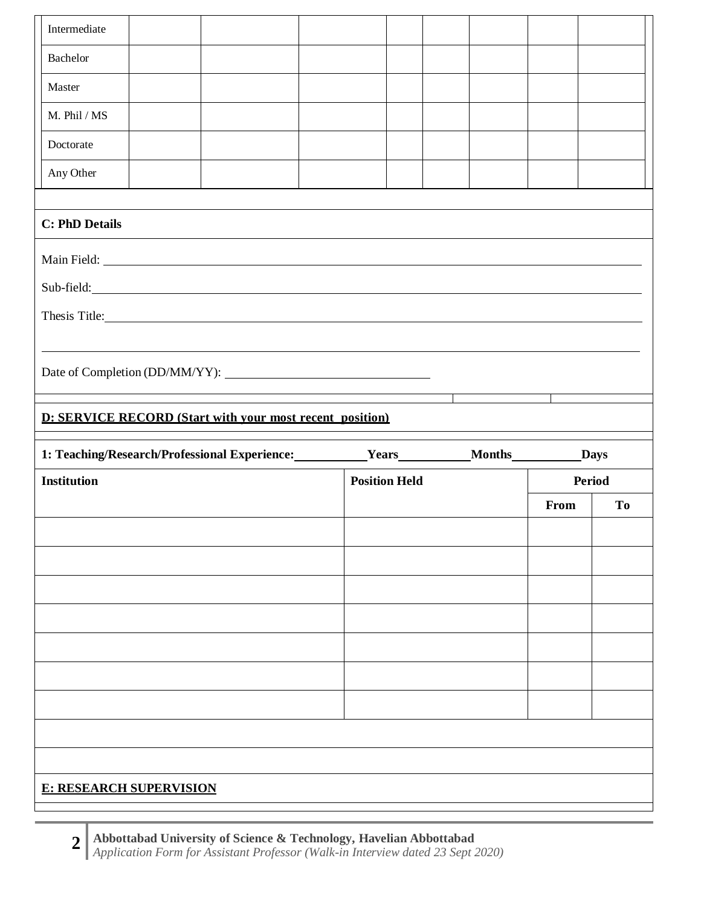| Any Other<br><b>C: PhD Details</b><br>Sub-field: New York Contract the Contract of the Contract of the Contract of the Contract of the Contract of the Contract of the Contract of the Contract of the Contract of the Contract of the Contract of the Contract of t<br>Thesis Title: 2000 and 2000 and 2000 and 2000 and 2000 and 2000 and 2000 and 2000 and 2000 and 2000 and 2000 and 2000 and 2000 and 2000 and 2000 and 2000 and 2000 and 2000 and 2000 and 2000 and 2000 and 2000 and 2000 and 2<br><b>D: SERVICE RECORD (Start with your most recent position)</b><br>1: Teaching/Research/Professional Experience: Vears Months Months Days<br><b>Position Held</b><br><b>Period</b><br><b>Institution</b><br>To<br>From |  |  |  |  |  |  |
|----------------------------------------------------------------------------------------------------------------------------------------------------------------------------------------------------------------------------------------------------------------------------------------------------------------------------------------------------------------------------------------------------------------------------------------------------------------------------------------------------------------------------------------------------------------------------------------------------------------------------------------------------------------------------------------------------------------------------------|--|--|--|--|--|--|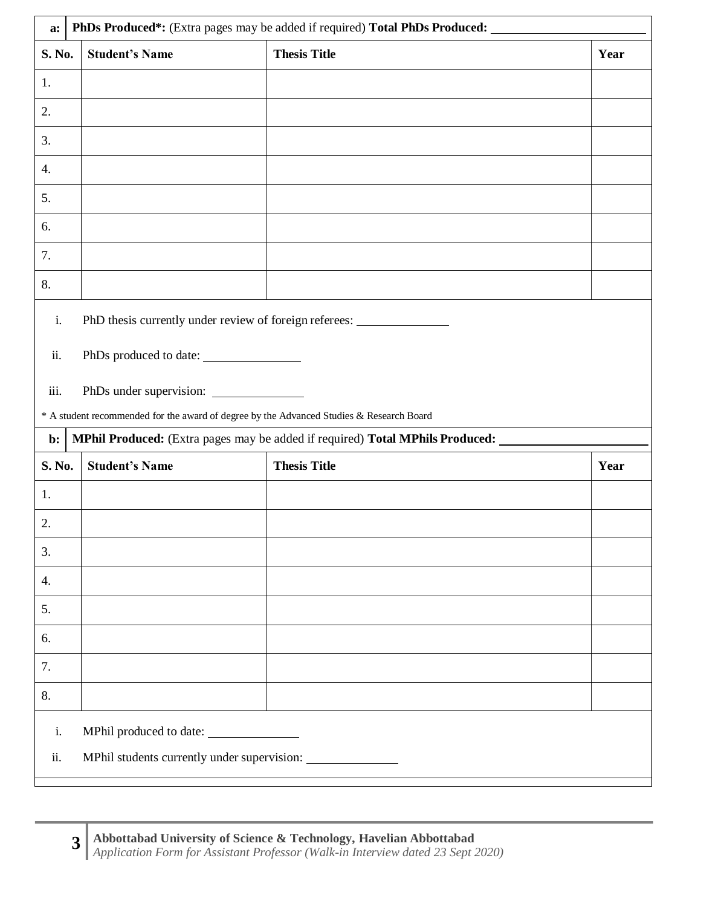| a:     | PhDs Produced*: (Extra pages may be added if required) Total PhDs Produced: ______       |                                                                                   |      |  |  |  |  |
|--------|------------------------------------------------------------------------------------------|-----------------------------------------------------------------------------------|------|--|--|--|--|
| S. No. | <b>Student's Name</b>                                                                    | <b>Thesis Title</b>                                                               | Year |  |  |  |  |
| 1.     |                                                                                          |                                                                                   |      |  |  |  |  |
| 2.     |                                                                                          |                                                                                   |      |  |  |  |  |
| 3.     |                                                                                          |                                                                                   |      |  |  |  |  |
| 4.     |                                                                                          |                                                                                   |      |  |  |  |  |
| 5.     |                                                                                          |                                                                                   |      |  |  |  |  |
| 6.     |                                                                                          |                                                                                   |      |  |  |  |  |
| 7.     |                                                                                          |                                                                                   |      |  |  |  |  |
| 8.     |                                                                                          |                                                                                   |      |  |  |  |  |
| i.     | PhD thesis currently under review of foreign referees: __________________________        |                                                                                   |      |  |  |  |  |
|        |                                                                                          |                                                                                   |      |  |  |  |  |
| ii.    | PhDs produced to date:                                                                   |                                                                                   |      |  |  |  |  |
| iii.   |                                                                                          |                                                                                   |      |  |  |  |  |
|        | * A student recommended for the award of degree by the Advanced Studies & Research Board |                                                                                   |      |  |  |  |  |
| b:     |                                                                                          | MPhil Produced: (Extra pages may be added if required) Total MPhils Produced: ___ |      |  |  |  |  |
| S. No. | <b>Student's Name</b>                                                                    | <b>Thesis Title</b>                                                               | Year |  |  |  |  |
| 1.     |                                                                                          |                                                                                   |      |  |  |  |  |
| 2.     |                                                                                          |                                                                                   |      |  |  |  |  |
| 3.     |                                                                                          |                                                                                   |      |  |  |  |  |
| 4.     |                                                                                          |                                                                                   |      |  |  |  |  |
| 5.     |                                                                                          |                                                                                   |      |  |  |  |  |
| 6.     |                                                                                          |                                                                                   |      |  |  |  |  |
| 7.     |                                                                                          |                                                                                   |      |  |  |  |  |
| 8.     |                                                                                          |                                                                                   |      |  |  |  |  |
| i.     |                                                                                          |                                                                                   |      |  |  |  |  |
| ii.    |                                                                                          |                                                                                   |      |  |  |  |  |
|        |                                                                                          |                                                                                   |      |  |  |  |  |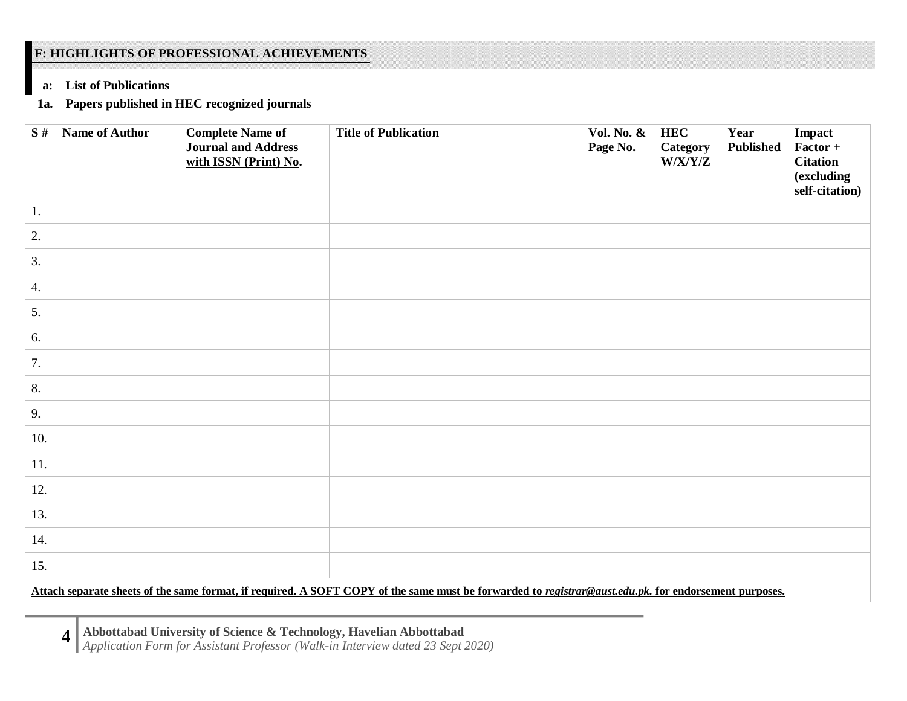# **F: HIGHLIGHTS OF PROFESSIONAL ACHIEVEMENTS**

## **a: List of Publications**

# **1a. Papers published in HEC recognized journals**

| S#  | <b>Name of Author</b> | <b>Complete Name of</b><br><b>Journal and Address</b><br>with ISSN (Print) No. | <b>Title of Publication</b>                                                                                                                           | <b>Vol. No. &amp;</b><br>Page No. | <b>HEC</b><br><b>Category</b><br>W/X/Y/Z | Year<br><b>Published</b> | Impact<br>Factor +<br><b>Citation</b><br>(excluding<br>self-citation) |
|-----|-----------------------|--------------------------------------------------------------------------------|-------------------------------------------------------------------------------------------------------------------------------------------------------|-----------------------------------|------------------------------------------|--------------------------|-----------------------------------------------------------------------|
| 1.  |                       |                                                                                |                                                                                                                                                       |                                   |                                          |                          |                                                                       |
| 2.  |                       |                                                                                |                                                                                                                                                       |                                   |                                          |                          |                                                                       |
| 3.  |                       |                                                                                |                                                                                                                                                       |                                   |                                          |                          |                                                                       |
| 4.  |                       |                                                                                |                                                                                                                                                       |                                   |                                          |                          |                                                                       |
| 5.  |                       |                                                                                |                                                                                                                                                       |                                   |                                          |                          |                                                                       |
| 6.  |                       |                                                                                |                                                                                                                                                       |                                   |                                          |                          |                                                                       |
| 7.  |                       |                                                                                |                                                                                                                                                       |                                   |                                          |                          |                                                                       |
| 8.  |                       |                                                                                |                                                                                                                                                       |                                   |                                          |                          |                                                                       |
| 9.  |                       |                                                                                |                                                                                                                                                       |                                   |                                          |                          |                                                                       |
| 10. |                       |                                                                                |                                                                                                                                                       |                                   |                                          |                          |                                                                       |
| 11. |                       |                                                                                |                                                                                                                                                       |                                   |                                          |                          |                                                                       |
| 12. |                       |                                                                                |                                                                                                                                                       |                                   |                                          |                          |                                                                       |
| 13. |                       |                                                                                |                                                                                                                                                       |                                   |                                          |                          |                                                                       |
| 14. |                       |                                                                                |                                                                                                                                                       |                                   |                                          |                          |                                                                       |
| 15. |                       |                                                                                |                                                                                                                                                       |                                   |                                          |                          |                                                                       |
|     |                       |                                                                                | Attach separate sheets of the same format, if required. A SOFT COPY of the same must be forwarded to registrar@aust.edu.pk. for endorsement purposes. |                                   |                                          |                          |                                                                       |

**Abbottabad University of Science & Technology, Havelian Abbottabad** *Application Form for Assistant Professor (Walk-in Interview dated 23 Sept 2020)* **4**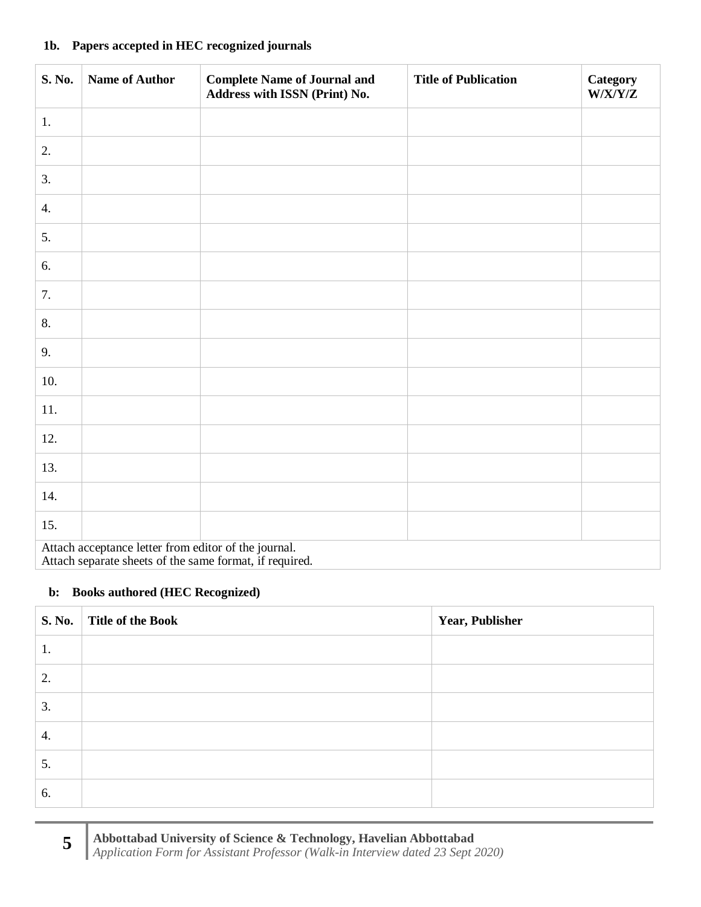#### **1b. Papers accepted in HEC recognized journals**

| S. No. | <b>Name of Author</b>                                                                                           | <b>Complete Name of Journal and</b><br>Address with ISSN (Print) No. | <b>Title of Publication</b> | <b>Category</b><br>W/X/Y/Z |
|--------|-----------------------------------------------------------------------------------------------------------------|----------------------------------------------------------------------|-----------------------------|----------------------------|
| 1.     |                                                                                                                 |                                                                      |                             |                            |
| 2.     |                                                                                                                 |                                                                      |                             |                            |
| 3.     |                                                                                                                 |                                                                      |                             |                            |
| 4.     |                                                                                                                 |                                                                      |                             |                            |
| 5.     |                                                                                                                 |                                                                      |                             |                            |
| 6.     |                                                                                                                 |                                                                      |                             |                            |
| 7.     |                                                                                                                 |                                                                      |                             |                            |
| 8.     |                                                                                                                 |                                                                      |                             |                            |
| 9.     |                                                                                                                 |                                                                      |                             |                            |
| 10.    |                                                                                                                 |                                                                      |                             |                            |
| 11.    |                                                                                                                 |                                                                      |                             |                            |
| 12.    |                                                                                                                 |                                                                      |                             |                            |
| 13.    |                                                                                                                 |                                                                      |                             |                            |
| 14.    |                                                                                                                 |                                                                      |                             |                            |
| 15.    |                                                                                                                 |                                                                      |                             |                            |
|        | Attach acceptance letter from editor of the journal.<br>Attach separate sheets of the same format, if required. |                                                                      |                             |                            |

## **b: Books authored (HEC Recognized)**

|    | S. No.   Title of the Book | <b>Year, Publisher</b> |
|----|----------------------------|------------------------|
| 1. |                            |                        |
| 2. |                            |                        |
| 3. |                            |                        |
| 4. |                            |                        |
| 5. |                            |                        |
| 6. |                            |                        |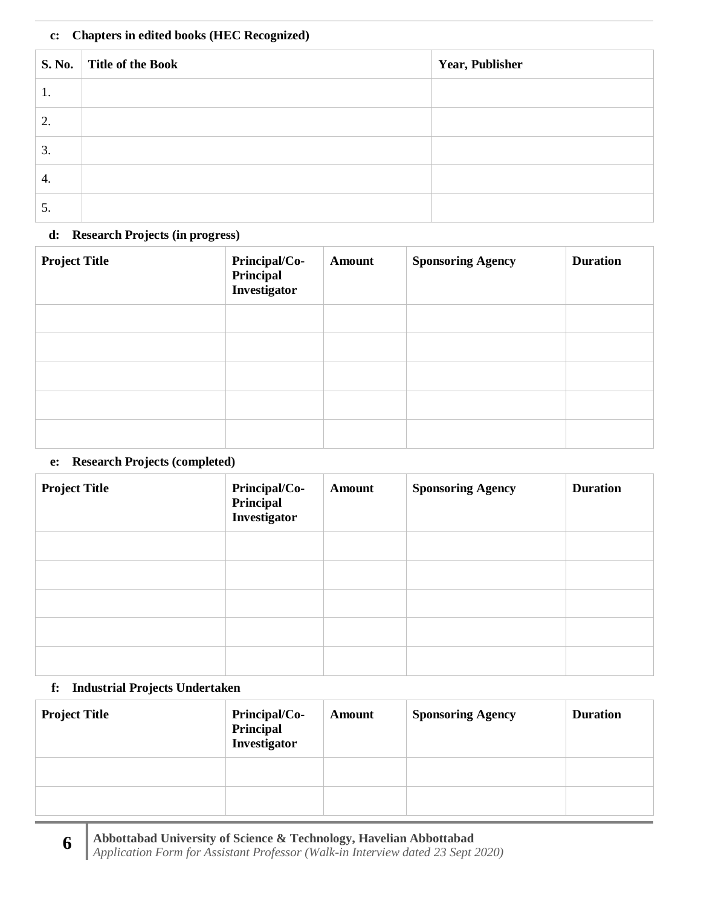## **c: Chapters in edited books (HEC Recognized)**

|    | S. No. Title of the Book | Year, Publisher |
|----|--------------------------|-----------------|
| ı. |                          |                 |
| 2. |                          |                 |
| 3. |                          |                 |
| 4. |                          |                 |
| C. |                          |                 |

## **d: Research Projects (in progress)**

| <b>Project Title</b> | Principal/Co-<br>Principal<br>Investigator | <b>Amount</b> | <b>Sponsoring Agency</b> | <b>Duration</b> |
|----------------------|--------------------------------------------|---------------|--------------------------|-----------------|
|                      |                                            |               |                          |                 |
|                      |                                            |               |                          |                 |
|                      |                                            |               |                          |                 |
|                      |                                            |               |                          |                 |
|                      |                                            |               |                          |                 |

### **e: Research Projects (completed)**

| <b>Project Title</b> | Principal/Co-<br>Principal<br>Investigator | <b>Amount</b> | <b>Sponsoring Agency</b> | <b>Duration</b> |
|----------------------|--------------------------------------------|---------------|--------------------------|-----------------|
|                      |                                            |               |                          |                 |
|                      |                                            |               |                          |                 |
|                      |                                            |               |                          |                 |
|                      |                                            |               |                          |                 |
|                      |                                            |               |                          |                 |

## **f: Industrial Projects Undertaken**

| <b>Project Title</b> | <b>Principal/Co-</b><br>Principal<br>Investigator | Amount | <b>Sponsoring Agency</b> | <b>Duration</b> |
|----------------------|---------------------------------------------------|--------|--------------------------|-----------------|
|                      |                                                   |        |                          |                 |
|                      |                                                   |        |                          |                 |

**Abbottabad University of Science & Technology, Havelian Abbottabad** *Application Form for Assistant Professor (Walk-in Interview dated 23 Sept 2020)* **6**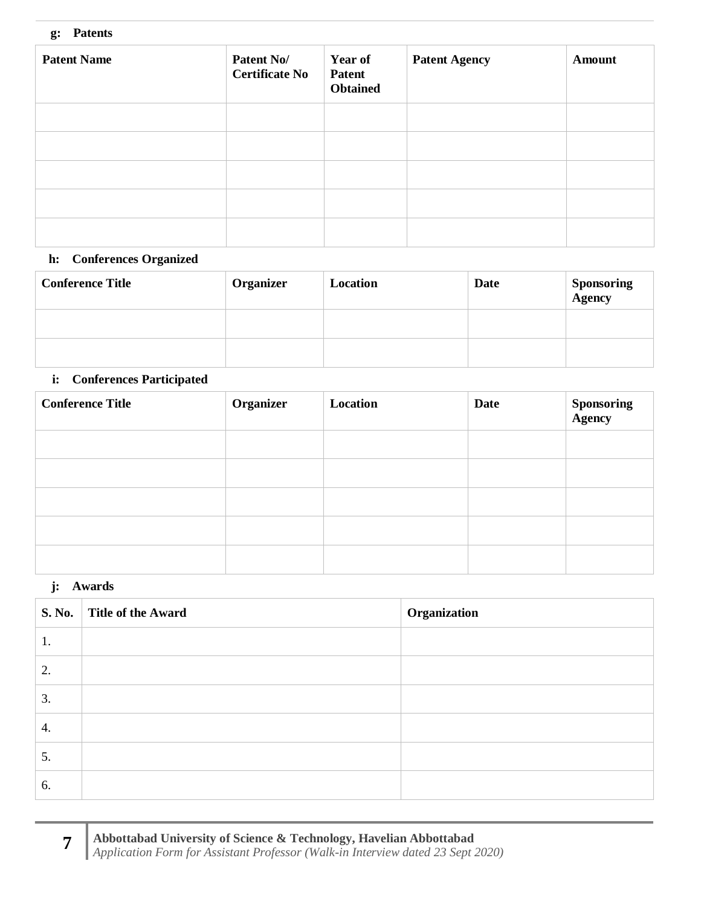#### **g: Patents**

| <b>Patent Name</b> | Patent No/<br><b>Certificate No</b> | <b>Year of</b><br>Patent<br><b>Obtained</b> | <b>Patent Agency</b> | <b>Amount</b> |
|--------------------|-------------------------------------|---------------------------------------------|----------------------|---------------|
|                    |                                     |                                             |                      |               |
|                    |                                     |                                             |                      |               |
|                    |                                     |                                             |                      |               |
|                    |                                     |                                             |                      |               |
|                    |                                     |                                             |                      |               |

# **h: Conferences Organized**

| <b>Conference Title</b> | <b>Organizer</b> | Location | <b>Date</b> | <b>Sponsoring</b><br><b>Agency</b> |
|-------------------------|------------------|----------|-------------|------------------------------------|
|                         |                  |          |             |                                    |
|                         |                  |          |             |                                    |

## **i: Conferences Participated**

| <b>Conference Title</b> | Organizer | Location | Date | <b>Sponsoring</b><br><b>Agency</b> |
|-------------------------|-----------|----------|------|------------------------------------|
|                         |           |          |      |                                    |
|                         |           |          |      |                                    |
|                         |           |          |      |                                    |
|                         |           |          |      |                                    |
|                         |           |          |      |                                    |

## **j: Awards**

|    | S. No. Title of the Award | Organization |
|----|---------------------------|--------------|
| 1. |                           |              |
| 2. |                           |              |
| 3. |                           |              |
| 4. |                           |              |
| 5. |                           |              |
| 6. |                           |              |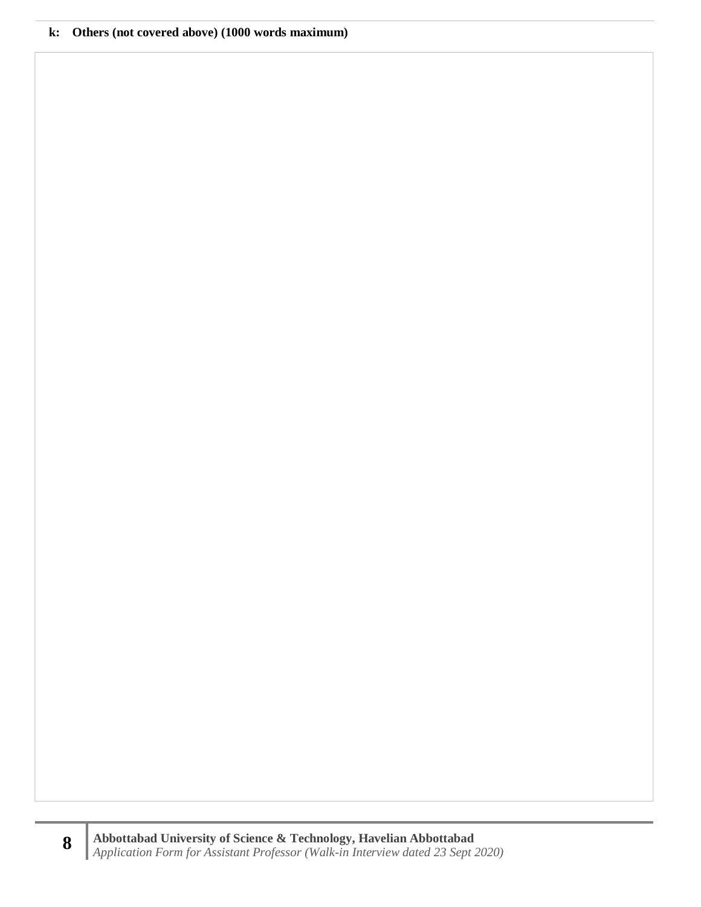#### **k: Others (not covered above) (1000 words maximum)**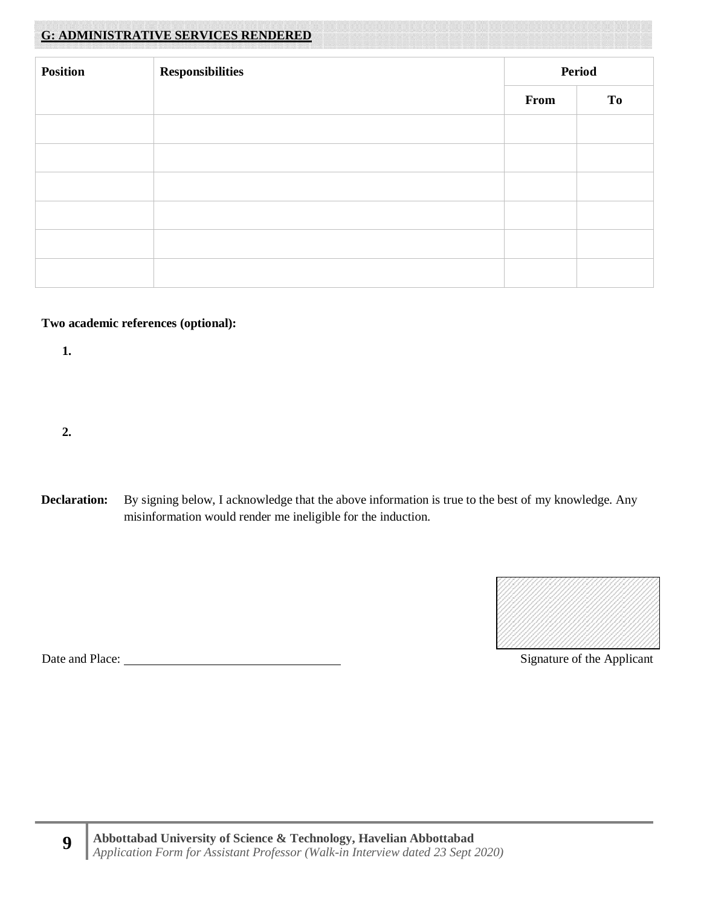# **G: ADMINISTRATIVE SERVICES RENDERED**

| <b>Position</b> | <b>Responsibilities</b><br><b>Period</b> |      |    |
|-----------------|------------------------------------------|------|----|
|                 |                                          | From | To |
|                 |                                          |      |    |
|                 |                                          |      |    |
|                 |                                          |      |    |
|                 |                                          |      |    |
|                 |                                          |      |    |
|                 |                                          |      |    |

#### **Two academic references (optional):**

**1.**

**2.**

**Declaration:** By signing below, I acknowledge that the above information is true to the best of my knowledge. Any misinformation would render me ineligible for the induction.



Date and Place: Signature of the Applicant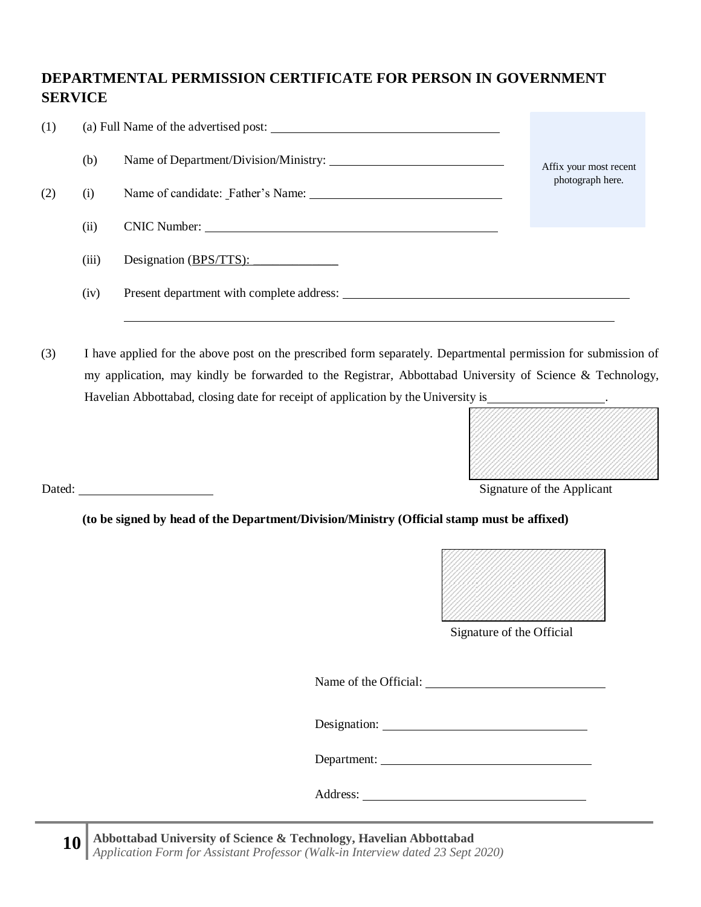# **DEPARTMENTAL PERMISSION CERTIFICATE FOR PERSON IN GOVERNMENT SERVICE**

| (1) |       | (a) Full Name of the advertised post: |                        |  |
|-----|-------|---------------------------------------|------------------------|--|
|     | (b)   |                                       | Affix your most recent |  |
| (2) | (i)   |                                       | photograph here.       |  |
|     | (ii)  |                                       |                        |  |
|     | (iii) | Designation $(BPS/TTS)$ :             |                        |  |
|     | (iv)  |                                       |                        |  |

(3) I have applied for the above post on the prescribed form separately. Departmental permission for submission of my application, may kindly be forwarded to the Registrar, Abbottabad University of Science & Technology, Havelian Abbottabad, closing date for receipt of application by the University is



Dated: Signature of the Applicant

**(to be signed by head of the Department/Division/Ministry (Official stamp must be affixed)**



Signature of the Official

Name of the Official:

Designation:

Department:

Address: